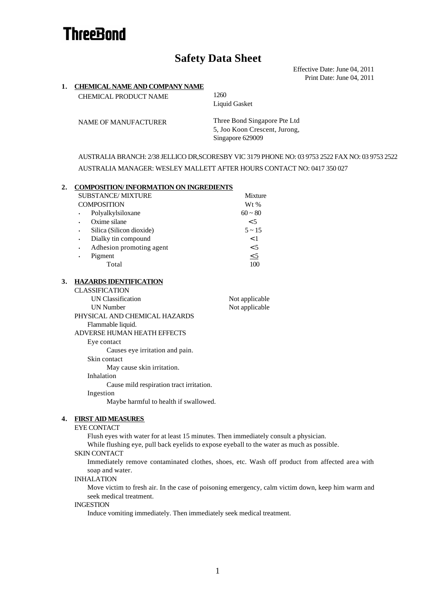# **ThreeBond**

# **Safety Data Sheet**

Effective Date: June 04, 2011 Print Date: June 04, 2011

# **1. CHEMICAL NAME AND COMPANY NAME** CHEMICAL PRODUCT NAME 1260 Liquid Gasket NAME OF MANUFACTURER Three Bond Singapore Pte Ltd 5, Joo Koon Crescent, Jurong, Singapore 629009 AUSTRALIA BRANCH: 2/38 JELLICO DR,SCORESBY VIC 3179 PHONE NO: 03 9753 2522 FAX NO: 03 9753 2522 AUSTRALIA MANAGER: WESLEY MALLETT AFTER HOURS CONTACT NO: 0417 350 027 **2. COMPOSITION/ INFORMATION ON INGREDIENTS** SUBSTANCE/ MIXTURE Mixture COMPOSITION Wt % • Polyalkylsiloxane Oxime silane Silica (Silicon dioxide) • Dialky tin compound • Adhesion promoting agent • Pigment  $60 \sim 80$  $< 5$  $5 - 15$  $< 1$  $< 5$  $< 5$ Total 100 **3. HAZARDS IDENTIFICATION** CLASSIFICATION UN Classification Not applicable UN Number Not applicable PHYSICAL AND CHEMICAL HAZARDS Flammable liquid. ADVERSE HUMAN HEATH EFFECTS Eye contact Causes eye irritation and pain. Skin contact May cause skin irritation. Inhalation Cause mild respiration tract irritation. Ingestion Maybe harmful to health if swallowed.

#### **4. FIRST AID MEASURES**

#### EYE CONTACT

Flush eyes with water for at least 15 minutes. Then immediately consult a physician.

While flushing eye, pull back eyelids to expose eyeball to the water as much as possible.

#### SKIN CONTACT

Immediately remove contaminated clothes, shoes, etc. Wash off product from affected area with soap and water.

#### INHALATION

Move victim to fresh air. In the case of poisoning emergency, calm victim down, keep him warm and seek medical treatment.

## INGESTION

Induce vomiting immediately. Then immediately seek medical treatment.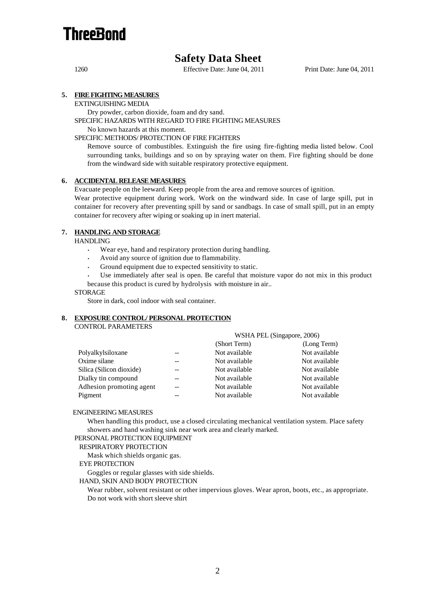

# **Safety Data Sheet**

1260 Effective Date: June 04, 2011 Print Date: June 04, 2011

# **5. FIRE FIGHTING MEASURES**

EXTINGUISHING MEDIA

Dry powder, carbon dioxide, foam and dry sand.

SPECIFIC HAZARDS WITH REGARD TO FIRE FIGHTING MEASURES

No known hazards at this moment.

## SPECIFIC METHODS/ PROTECTION OF FIRE FIGHTERS

Remove source of combustibles. Extinguish the fire using fire-fighting media listed below. Cool surrounding tanks, buildings and so on by spraying water on them. Fire fighting should be done from the windward side with suitable respiratory protective equipment.

# **6. ACCIDENTAL RELEASE MEASURES**

Evacuate people on the leeward. Keep people from the area and remove sources of ignition.

Wear protective equipment during work. Work on the windward side. In case of large spill, put in container for recovery after preventing spill by sand or sandbags. In case of small spill, put in an empty container for recovery after wiping or soaking up in inert material.

# **7. HANDLING AND STORAGE**

**HANDLING** 

- Wear eye, hand and respiratory protection during handling.
- Avoid any source of ignition due to flammability.
- Ground equipment due to expected sensitivity to static.

• Use immediately after seal is open. Be careful that moisture vapor do not mix in this product because this product is cured by hydrolysis with moisture in air..

#### STORAGE

Store in dark, cool indoor with seal container.

### **8. EXPOSURE CONTROL/ PERSONAL PROTECTION**

CONTROL PARAMETERS

|                          |       | WSHA PEL (Singapore, 2006) |               |
|--------------------------|-------|----------------------------|---------------|
|                          |       | (Short Term)               | (Long Term)   |
| Polyalkylsiloxane        |       | Not available              | Not available |
| Oxime silane             |       | Not available              | Not available |
| Silica (Silicon dioxide) |       | Not available              | Not available |
| Dialky tin compound      | $- -$ | Not available              | Not available |
| Adhesion promoting agent |       | Not available              | Not available |
| Pigment                  |       | Not available              | Not available |

# ENGINEERING MEASURES

When handling this product, use a closed circulating mechanical ventilation system. Place safety showers and hand washing sink near work area and clearly marked.

#### PERSONAL PROTECTION EQUIPMENT

#### RESPIRATORY PROTECTION

Mask which shields organic gas.

EYE PROTECTION

Goggles or regular glasses with side shields.

## HAND, SKIN AND BODY PROTECTION

Wear rubber, solvent resistant or other impervious gloves. Wear apron, boots, etc., as appropriate. Do not work with short sleeve shirt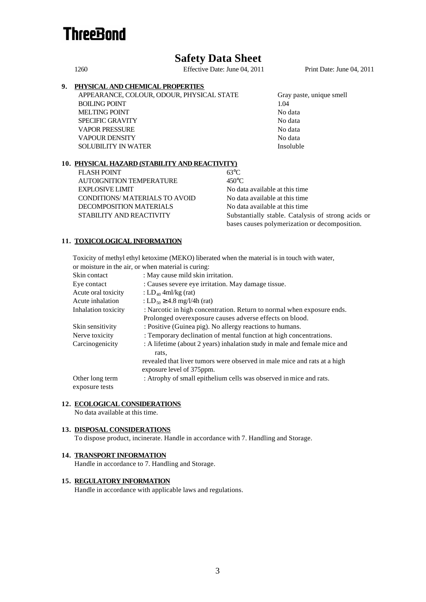# **ThreeBond**

# **Safety Data Sheet**

1260 Effective Date: June 04, 2011 Print Date: June 04, 2011

# **9. PHYSICAL AND CHEMICAL PROPERTIES**

APPEARANCE, COLOUR, ODOUR, PHYSICAL STATE Gray paste, unique smell BOILING POINT 1.04 MELTING POINT No data SPECIFIC GRAVITY No data VAPOR PRESSURE No data VAPOUR DENSITY No data SOLUBILITY IN WATER Insoluble

# **10. PHYSICAL HAZARD (STABILITY AND REACTIVITY)**

FLASH POINT 63°C AUTOIGNITION TEMPERATURE 450°C EXPLOSIVE LIMIT No data available at this time CONDITIONS/MATERIALS TO AVOID No data available at this time DECOMPOSITION MATERIALS No data available at this time

STABILITY AND REACTIVITY Substantially stable. Catalysis of strong acids or bases causes polymerization or decomposition.

# **11. TOXICOLOGICAL INFORMATION**

 Toxicity of methyl ethyl ketoxime (MEKO) liberated when the material is in touch with water, or moisture in the air, or when material is curing:

| Skin contact        | : May cause mild skin irritation.                                         |
|---------------------|---------------------------------------------------------------------------|
| Eye contact         | : Causes severe eye irritation. May damage tissue.                        |
| Acute oral toxicity | : $LD_{40}$ 4ml/kg (rat)                                                  |
| Acute inhalation    | : LD <sub>50</sub> $\geq$ 4.8 mg/l/4h (rat)                               |
| Inhalation toxicity | : Narcotic in high concentration. Return to normal when exposure ends.    |
|                     | Prolonged overexposure causes adverse effects on blood.                   |
| Skin sensitivity    | : Positive (Guinea pig). No allergy reactions to humans.                  |
| Nerve toxicity      | : Temporary declination of mental function at high concentrations.        |
| Carcinogenicity     | : A lifetime (about 2 years) inhalation study in male and female mice and |
|                     | rats.                                                                     |
|                     | revealed that liver tumors were observed in male mice and rats at a high  |
|                     | exposure level of 375ppm.                                                 |
| Other long term     | : Atrophy of small epithelium cells was observed in mice and rats.        |
| exposure tests      |                                                                           |

# **12. ECOLOGICAL CONSIDERATIONS**

No data available at this time.

# **13. DISPOSAL CONSIDERATIONS**

To dispose product, incinerate. Handle in accordance with 7. Handling and Storage.

# **14. TRANSPORT INFORMATION**

Handle in accordance to 7. Handling and Storage.

## **15. REGULATORY INFORMATION**

Handle in accordance with applicable laws and regulations.